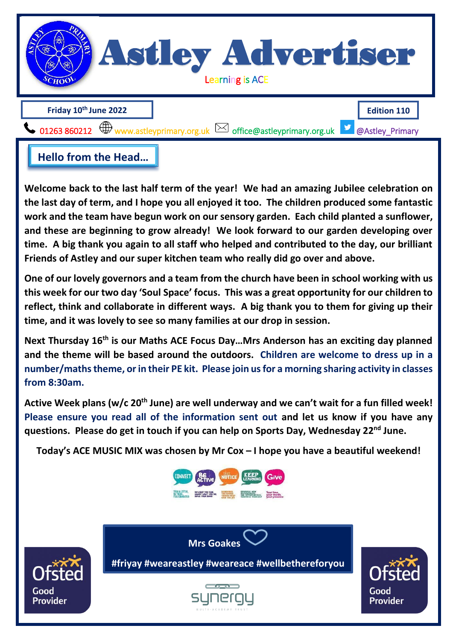

Welcome back to the last half term of the year! We had an amazing Jubilee celebration on **work and the team have begun work on our se[nsory garden. Each child](mailto:office@astleyprimary.org.uk) planted a sunflower, the last day of term, and I hope you all enjoyed it too. The children produced some fantastic and these are beginning to grow already! We look forward to our garden developing over time. A big thank you again to all staff who helped and contributed to the day, our brilliant Friends of Astley and our super kitchen team who really did go over and above. <br>
Hello from the Head...**<br> **Example 1888** Alast half term of the year! We had an amazin<br> **Example 1888** Alast day of term, and I hope you all enjoyed it too. The children p<br> **Example 1888** are beginning to grow already! W

**One of our lovely governors and a team from the church have been in school working with us this week for our two day 'Soul Space' focus. This was a great opportunity for our children to reflect, think and collaborate in different ways. A big thank you to them for giving up their time, and it was lovely to see so many families at our drop in session.**

**Next Thursday 16th is our Maths ACE Focus Day…Mrs Anderson has an exciting day planned and the theme will be based around the outdoors. Children are welcome to dress up in a number/maths theme, or in their PE kit. Please join us for a morning sharing activity in classes from 8:30am.**

**Active Week plans (w/c 20th June) are well underway and we can't wait for a fun filled week! Please ensure you read all of the information sent out and let us know if you have any questions. Please do get in touch if you can help on Sports Day, Wednesday 22nd June.** 

**Today's ACE MUSIC MIX was chosen by Mr Cox – I hope you have a beautiful weekend!**





**#friyay #weareastley #weareace #wellbethereforyou**

**Mrs Goakes** *\** **<b>#weareastley #weareastley #weareastley #weareastley #weareastley #weareastley #wellbethereforyout #weareastley #weareastle**